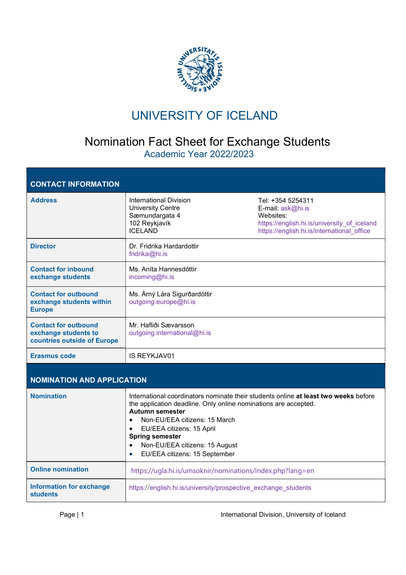

## UNIVERSITY OF ICELAND

## Nomination Fact Sheet for Exchange Students Academic Year 2022/2023

| <b>Address</b>                                                                     | International Division<br><b>University Centre</b><br>Sæmundargata 4<br>102 Reykjavík<br><b>ICELAND</b>                                                                                                                                                                                     | Tel: +354 5254311<br>E-mail: ask@hi.is<br>Websites:<br>https://english.hi.is/university_of_iceland<br>https://english.hi.is/international office |
|------------------------------------------------------------------------------------|---------------------------------------------------------------------------------------------------------------------------------------------------------------------------------------------------------------------------------------------------------------------------------------------|--------------------------------------------------------------------------------------------------------------------------------------------------|
| <b>Director</b>                                                                    | Dr. Fridrika Hardardottir<br>fridrika@hi.is                                                                                                                                                                                                                                                 |                                                                                                                                                  |
| <b>Contact for inbound</b><br>exchange students                                    | Ms. Aníta Hannesdóttir<br>incoming@hi.is                                                                                                                                                                                                                                                    |                                                                                                                                                  |
| <b>Contact for outbound</b><br>exchange students within<br><b>Europe</b>           | Ms. Árný Lára Sigurðardóttir<br>outgoing.europe@hi.is                                                                                                                                                                                                                                       |                                                                                                                                                  |
| <b>Contact for outbound</b><br>exchange students to<br>countries outside of Europe | Mr. Hafliði Sævarsson<br>outgoing.international@hi.is                                                                                                                                                                                                                                       |                                                                                                                                                  |
|                                                                                    |                                                                                                                                                                                                                                                                                             |                                                                                                                                                  |
| <b>Erasmus code</b>                                                                | <b>IS REYKJAV01</b>                                                                                                                                                                                                                                                                         |                                                                                                                                                  |
| <b>NOMINATION AND APPLICATION</b>                                                  |                                                                                                                                                                                                                                                                                             |                                                                                                                                                  |
| <b>Nomination</b>                                                                  | the application deadline. Only online nominations are accepted.<br><b>Autumn semester</b><br>Non-EU/EEA citizens: 15 March<br>$\bullet$<br>EU/EEA citizens: 15 April<br>$\bullet$<br><b>Spring semester</b><br>Non-EU/EEA citizens: 15 August<br>EU/EEA citizens: 15 September<br>$\bullet$ | International coordinators nominate their students online at least two weeks before                                                              |
| <b>Online nomination</b>                                                           | https://ugla.hi.is/umsoknir/nominations/index.php?lang=en                                                                                                                                                                                                                                   |                                                                                                                                                  |

Page | 1 **International Division, University of Iceland**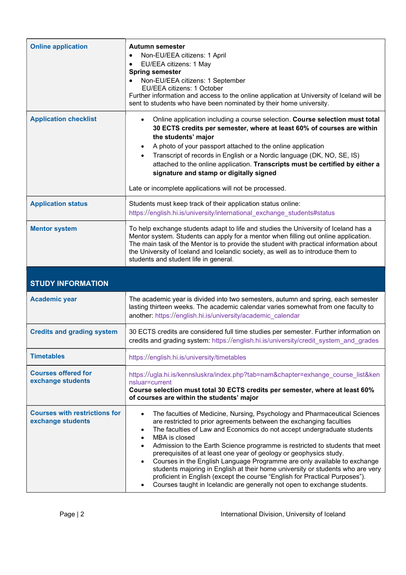| <b>Online application</b>                       | Autumn semester<br>Non-EU/EEA citizens: 1 April<br>EU/EEA citizens: 1 May<br><b>Spring semester</b><br>Non-EU/EEA citizens: 1 September<br>EU/EEA citizens: 1 October<br>Further information and access to the online application at University of Iceland will be<br>sent to students who have been nominated by their home university.                                                                                                                                                                                  |
|-------------------------------------------------|---------------------------------------------------------------------------------------------------------------------------------------------------------------------------------------------------------------------------------------------------------------------------------------------------------------------------------------------------------------------------------------------------------------------------------------------------------------------------------------------------------------------------|
| <b>Application checklist</b>                    | Online application including a course selection. Course selection must total<br>$\bullet$<br>30 ECTS credits per semester, where at least 60% of courses are within<br>the students' major<br>A photo of your passport attached to the online application<br>Transcript of records in English or a Nordic language (DK, NO, SE, IS)<br>attached to the online application. Transcripts must be certified by either a<br>signature and stamp or digitally signed<br>Late or incomplete applications will not be processed. |
| <b>Application status</b>                       | Students must keep track of their application status online:<br>https://english.hi.is/university/international_exchange_students#status                                                                                                                                                                                                                                                                                                                                                                                   |
| <b>Mentor system</b>                            | To help exchange students adapt to life and studies the University of Iceland has a<br>Mentor system. Students can apply for a mentor when filling out online application.<br>The main task of the Mentor is to provide the student with practical information about<br>the University of Iceland and Icelandic society, as well as to introduce them to<br>students and student life in general.                                                                                                                         |
|                                                 |                                                                                                                                                                                                                                                                                                                                                                                                                                                                                                                           |
| <b>STUDY INFORMATION</b>                        |                                                                                                                                                                                                                                                                                                                                                                                                                                                                                                                           |
| <b>Academic year</b>                            | The academic year is divided into two semesters, autumn and spring, each semester<br>lasting thirteen weeks. The academic calendar varies somewhat from one faculty to<br>another: https://english.hi.is/university/academic_calendar                                                                                                                                                                                                                                                                                     |
| <b>Credits and grading system</b>               | 30 ECTS credits are considered full time studies per semester. Further information on<br>credits and grading system: https://english.hi.is/university/credit system and grades                                                                                                                                                                                                                                                                                                                                            |
| <b>Timetables</b>                               | https://english.hi.is/university/timetables                                                                                                                                                                                                                                                                                                                                                                                                                                                                               |
| <b>Courses offered for</b><br>exchange students | https://ugla.hi.is/kennsluskra/index.php?tab=nam&chapter=exhange_course_list&ken<br>nsluar=current<br>Course selection must total 30 ECTS credits per semester, where at least 60%<br>of courses are within the students' major                                                                                                                                                                                                                                                                                           |